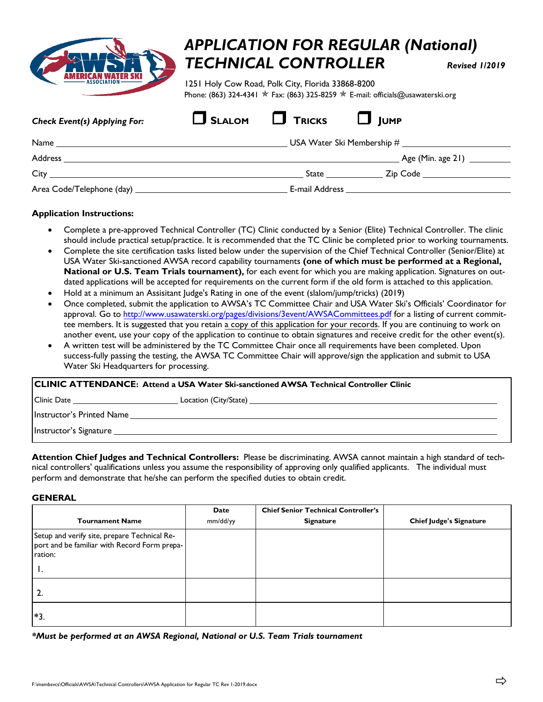

# *APPLICATION FOR REGULAR (National) TECHNICAL CONTROLLER Revised 1/201<sup>9</sup>*

1251 Holy Cow Road, Polk City, Florida 33868-8200 Phone: (863) 324-4341  $\star$  Fax: (863) 325-8259  $\star$  E-mail: officials@usawaterski.org

| <b>Check Event(s) Applying For:</b> | $\Box$ SLALOM | $\Box$ Tricks | $\Box$ IUMP                                           |
|-------------------------------------|---------------|---------------|-------------------------------------------------------|
|                                     |               |               |                                                       |
|                                     |               |               | Age (Min. age 21) __________                          |
|                                     |               |               | _ Zip Code ____________________<br>State <b>State</b> |
|                                     |               |               |                                                       |

### **Application Instructions:**

- Complete a pre-approved Technical Controller (TC) Clinic conducted by a Senior (Elite) Technical Controller. The clinic should include practical setup/practice. It is recommended that the TC Clinic be completed prior to working tournaments.
- Complete the site certification tasks listed below under the supervision of the Chief Technical Controller (Senior/Elite) at USA Water Ski-sanctioned AWSA record capability tournaments **(one of which must be performed at a Regional, National or U.S. Team Trials tournament),** for each event for which you are making application. Signatures on outdated applications will be accepted for requirements on the current form if the old form is attached to this application.
- Hold at a minimum an Assisitant Judge's Rating in one of the event (slalom/jump/tricks) (2019)
- Once complete[d, submit the application to AWSA](http://www.usawaterski.org/pages/divisions/3event/AWSACommittees.pdf)'s TC Committee Chair and USA Water Ski's Officials' Coordinator for approval. Go to http://www.usawaterski.org/pages/divisions/3event/AWSACommittees.pdf for a listing of current committee members. It is suggested that you retain a copy of this application for your records. If you are continuing to work on another event, use your copy of the application to continue to obtain signatures and receive credit for the other event(s).
- A written test will be administered by the TC Committee Chair once all requirements have been completed. Upon success-fully passing the testing, the AWSA TC Committee Chair will approve/sign the application and submit to USA Water Ski Headquarters for processing.

| <b>CLINIC ATTENDANCE: Attend a USA Water Ski-sanctioned AWSA Technical Controller Clinic</b> |  |  |
|----------------------------------------------------------------------------------------------|--|--|
|                                                                                              |  |  |
|                                                                                              |  |  |
|                                                                                              |  |  |
|                                                                                              |  |  |

**Attention Chief Judges and Technical Controllers:** Please be discriminating. AWSA cannot maintain a high standard of technical controllers' qualifications unless you assume the responsibility of approving only qualified applicants. The individual must perform and demonstrate that he/she can perform the specified duties to obtain credit.

#### **GENERAL**

|                                                                                                               | Date     | <b>Chief Senior Technical Controller's</b> |                                |
|---------------------------------------------------------------------------------------------------------------|----------|--------------------------------------------|--------------------------------|
| <b>Tournament Name</b>                                                                                        | mm/dd/yy | <b>Signature</b>                           | <b>Chief Judge's Signature</b> |
| Setup and verify site, prepare Technical Re-<br>port and be familiar with Record Form prepa-<br>ration:<br>п. |          |                                            |                                |
| 2.                                                                                                            |          |                                            |                                |
| $*3$                                                                                                          |          |                                            |                                |

*\*Must be performed at an AWSA Regional, National or U.S. Team Trials tournament*